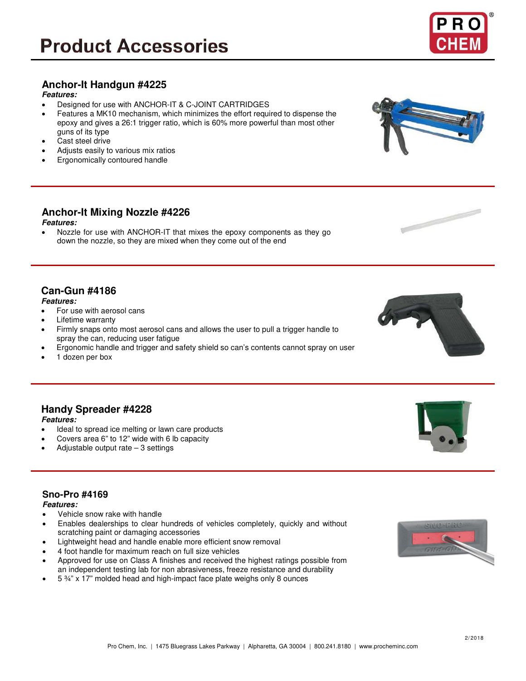# **Product Accessories**

## **Anchor-It Handgun #4225**

**Features:**

- Designed for use with ANCHOR-IT & C-JOINT CARTRIDGES
- Features a MK10 mechanism, which minimizes the effort required to dispense the epoxy and gives a 26:1 trigger ratio, which is 60% more powerful than most other guns of its type
- Cast steel drive
- Adjusts easily to various mix ratios
- Ergonomically contoured handle

# **Anchor-It Mixing Nozzle #4226**

**Features:**

• Nozzle for use with ANCHOR-IT that mixes the epoxy components as they go down the nozzle, so they are mixed when they come out of the end

## **Can-Gun #4186**

### **Features:**

• For use with aerosol cans

**Handy Spreader #4228**

- Lifetime warranty
- Firmly snaps onto most aerosol cans and allows the user to pull a trigger handle to spray the can, reducing user fatigue
- Ergonomic handle and trigger and safety shield so can's contents cannot spray on user
- 1 dozen per box

## **Sno-Pro #4169**

**Features:**

**Features:**

• Vehicle snow rake with handle

Adjustable output rate  $-3$  settings

- Enables dealerships to clear hundreds of vehicles completely, quickly and without scratching paint or damaging accessories
- Lightweight head and handle enable more efficient snow removal
- 4 foot handle for maximum reach on full size vehicles

Ideal to spread ice melting or lawn care products • Covers area 6" to 12" wide with 6 lb capacity

- Approved for use on Class A finishes and received the highest ratings possible from an independent testing lab for non abrasiveness, freeze resistance and durability
- 5 ¾" x 17" molded head and high-impact face plate weighs only 8 ounces